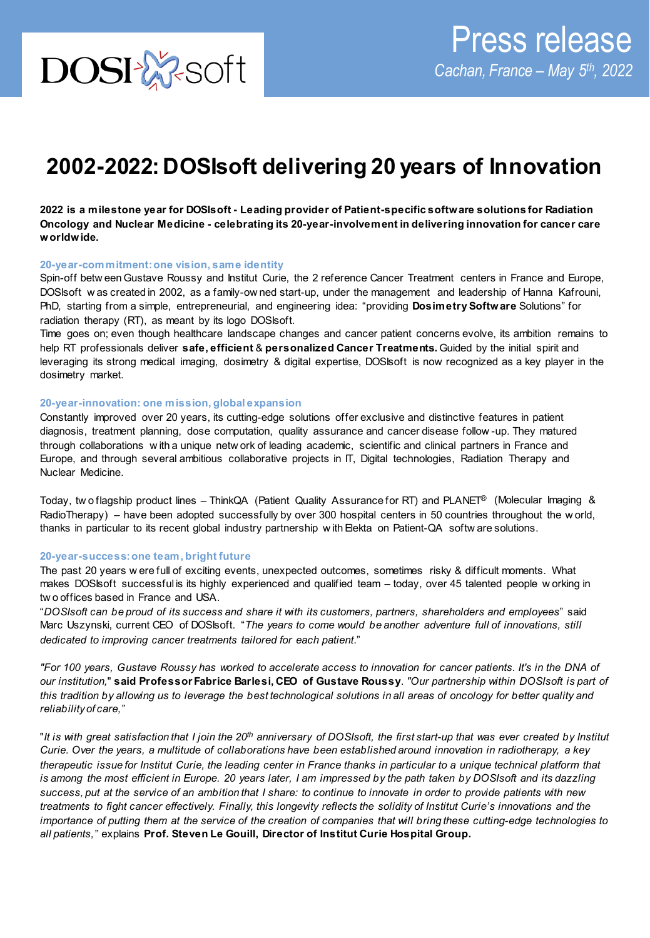# **2002-2022: DOSIsoft delivering 20 years of Innovation**

**2022 is a milestone year for DOSIsoft - Leading provider of Patient-specific software solutions for Radiation Oncology and Nuclear Medicine - celebrating its 20-year-involvement in delivering innovation for cancer care worldwide.** 

### **20-year-commitment: one vision, same identity**

Spin-off betw een Gustave Roussy and Institut Curie, the 2 reference Cancer Treatment centers in France and Europe, DOSIsoft w as created in 2002, as a family-ow ned start-up, under the management and leadership of Hanna Kafrouni, PhD, starting from a simple, entrepreneurial, and engineering idea: "providing **Dosimetry Software** Solutions" for radiation therapy (RT), as meant by its logo DOSIsoft.

Time goes on; even though healthcare landscape changes and cancer patient concerns evolve, its ambition remains to help RT professionals deliver **safe, efficient** & **personalized Cancer Treatments.** Guided by the initial spirit and leveraging its strong medical imaging, dosimetry & digital expertise, DOSIsoft is now recognized as a key player in the dosimetry market.

#### **20-year-innovation: one mission, global expansion**

Constantly improved over 20 years, its cutting-edge solutions offer exclusive and distinctive features in patient diagnosis, treatment planning, dose computation, quality assurance and cancer disease follow -up. They matured through collaborations w ith a unique netw ork of leading academic, scientific and clinical partners in France and Europe, and through several ambitious collaborative projects in IT, Digital technologies, Radiation Therapy and Nuclear Medicine.

Today, tw o flagship product lines – ThinkQA (Patient Quality Assurance for RT) and PLANET® (Molecular Imaging & RadioTherapy) – have been adopted successfully by over 300 hospital centers in 50 countries throughout the w orld, thanks in particular to its recent global industry partnership w ith Elekta on Patient-QA softw are solutions.

## **20-year-success: one team, bright future**

The past 20 years w ere full of exciting events, unexpected outcomes, sometimes risky & difficult moments. What makes DOSIsoft successful is its highly experienced and qualified team – today, over 45 talented people w orking in tw o offices based in France and USA.

"*DOSIsoft can be proud of its success and share it with its customers, partners, shareholders and employees*" said Marc Uszynski, current CEO of DOSIsoft. "*The years to come would be another adventure full of innovations, still dedicated to improving cancer treatments tailored for each patient*."

*"For 100 years, Gustave Roussy has worked to accelerate access to innovation for cancer patients. It's in the DNA of our institution,*" **said Professor Fabrice Barlesi, CEO of Gustave Roussy**. *"Our partnership within DOSIsoft is part of this tradition by allowing us to leverage the best technological solutions in all areas of oncology for better quality and reliability of care,"*

"*It is with great satisfaction that I join the 20th anniversary of DOSIsoft, the first start-up that was ever created by Institut Curie. Over the years, a multitude of collaborations have been established around innovation in radiotherapy, a key therapeutic issue for Institut Curie, the leading center in France thanks in particular to a unique technical platform that is among the most efficient in Europe. 20 years later, I am impressed by the path taken by DOSIsoft and its dazzling success, put at the service of an ambition that I share: to continue to innovate in order to provide patients with new treatments to fight cancer effectively. Finally, this longevity reflects the solidity of Institut Curie's innovations and the importance of putting them at the service of the creation of companies that will bring these cutting-edge technologies to all patients,"* explains **Prof. Steven Le Gouill, Director of Institut Curie Hospital Group.**